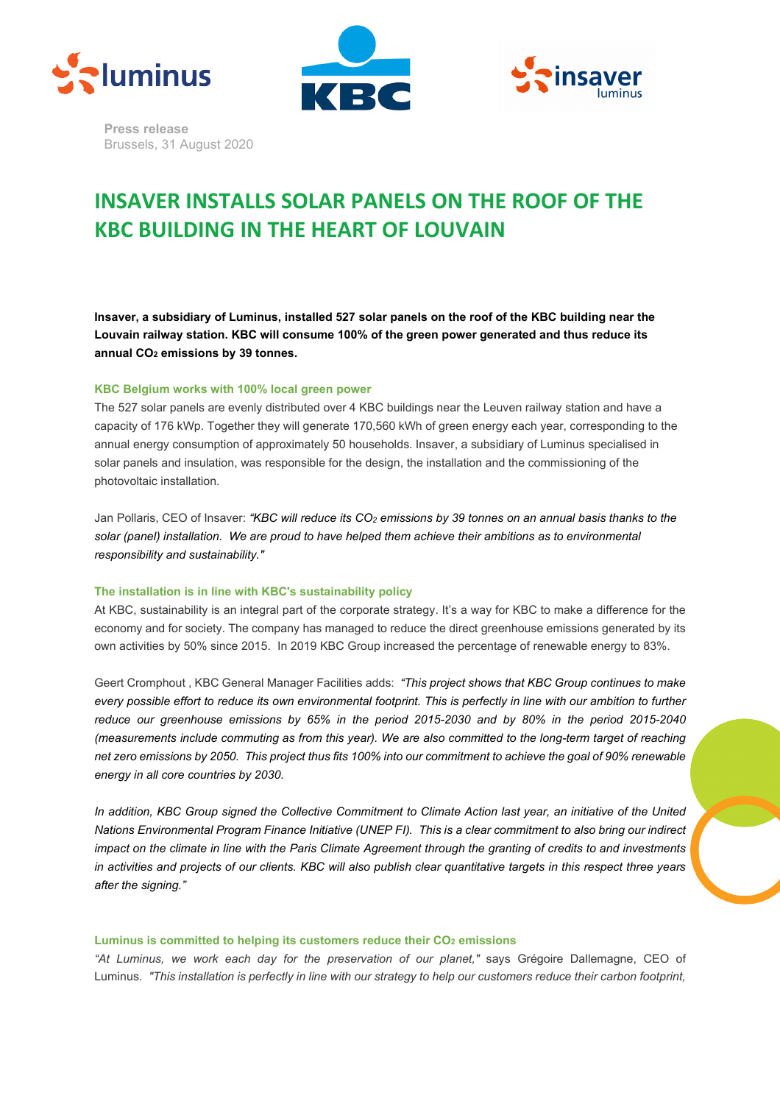





**Press release** Brussels, 31 August 2020

# **INSAVER INSTALLS SOLAR PANELS ON THE ROOF OF THE KBC BUILDING IN THE HEART OF LOUVAIN**

**Insaver, a subsidiary of Luminus, installed 527 solar panels on the roof of the KBC building near the Louvain railway station. KBC will consume 100% of the green power generated and thus reduce its annual CO2 emissions by 39 tonnes.** 

## **KBC Belgium works with 100% local green power**

The 527 solar panels are evenly distributed over 4 KBC buildings near the Leuven railway station and have a capacity of 176 kWp. Together they will generate 170,560 kWh of green energy each year, corresponding to the annual energy consumption of approximately 50 households. Insaver, a subsidiary of Luminus specialised in solar panels and insulation, was responsible for the design, the installation and the commissioning of the photovoltaic installation.

Jan Pollaris, CEO of Insaver: "KBC will reduce its CO<sub>2</sub> emissions by 39 tonnes on an annual basis thanks to the *solar (panel) installation. We are proud to have helped them achieve their ambitions as to environmental responsibility and sustainability."*

#### **The installation is in line with KBC's sustainability policy**

At KBC, sustainability is an integral part of the corporate strategy. It's a way for KBC to make a difference for the economy and for society. The company has managed to reduce the direct greenhouse emissions generated by its own activities by 50% since 2015. In 2019 KBC Group increased the percentage of renewable energy to 83%.

Geert Cromphout , KBC General Manager Facilities adds: *"This project shows that KBC Group continues to make every possible effort to reduce its own environmental footprint. This is perfectly in line with our ambition to further reduce our greenhouse emissions by 65% in the period 2015-2030 and by 80% in the period 2015-2040 (measurements include commuting as from this year). We are also committed to the long-term target of reaching net zero emissions by 2050. This project thus fits 100% into our commitment to achieve the goal of 90% renewable energy in all core countries by 2030.* 

*In addition, KBC Group signed the Collective Commitment to Climate Action last year, an initiative of the United Nations Environmental Program Finance Initiative (UNEP FI). This is a clear commitment to also bring our indirect impact on the climate in line with the Paris Climate Agreement through the granting of credits to and investments in activities and projects of our clients. KBC will also publish clear quantitative targets in this respect three years after the signing."*

# Luminus is committed to helping its customers reduce their CO<sub>2</sub> emissions

*"At Luminus, we work each day for the preservation of our planet,"* says Grégoire Dallemagne, CEO of Luminus. *"This installation is perfectly in line with our strategy to help our customers reduce their carbon footprint,*